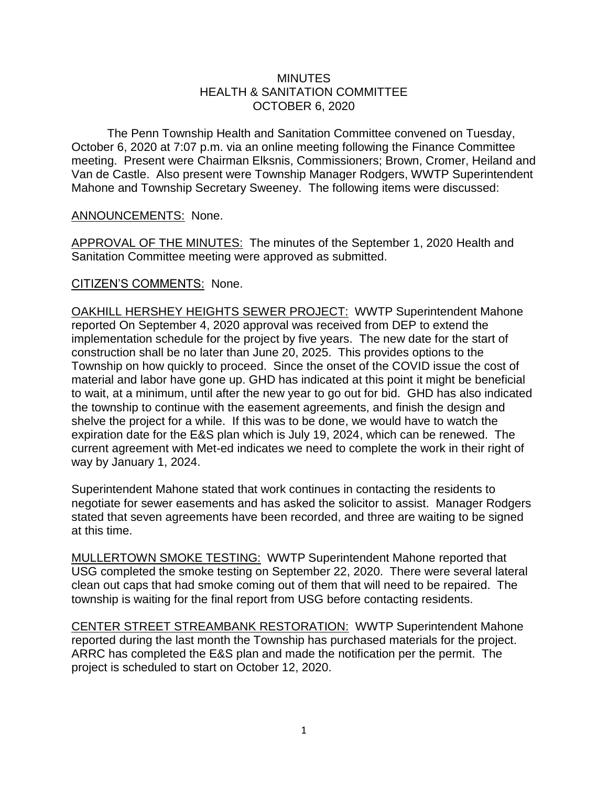## **MINUTES** HEALTH & SANITATION COMMITTEE OCTOBER 6, 2020

The Penn Township Health and Sanitation Committee convened on Tuesday, October 6, 2020 at 7:07 p.m. via an online meeting following the Finance Committee meeting. Present were Chairman Elksnis, Commissioners; Brown, Cromer, Heiland and Van de Castle. Also present were Township Manager Rodgers, WWTP Superintendent Mahone and Township Secretary Sweeney. The following items were discussed:

## ANNOUNCEMENTS: None.

APPROVAL OF THE MINUTES: The minutes of the September 1, 2020 Health and Sanitation Committee meeting were approved as submitted.

## CITIZEN'S COMMENTS: None.

OAKHILL HERSHEY HEIGHTS SEWER PROJECT: WWTP Superintendent Mahone reported On September 4, 2020 approval was received from DEP to extend the implementation schedule for the project by five years. The new date for the start of construction shall be no later than June 20, 2025. This provides options to the Township on how quickly to proceed. Since the onset of the COVID issue the cost of material and labor have gone up. GHD has indicated at this point it might be beneficial to wait, at a minimum, until after the new year to go out for bid. GHD has also indicated the township to continue with the easement agreements, and finish the design and shelve the project for a while. If this was to be done, we would have to watch the expiration date for the E&S plan which is July 19, 2024, which can be renewed. The current agreement with Met-ed indicates we need to complete the work in their right of way by January 1, 2024.

Superintendent Mahone stated that work continues in contacting the residents to negotiate for sewer easements and has asked the solicitor to assist. Manager Rodgers stated that seven agreements have been recorded, and three are waiting to be signed at this time.

MULLERTOWN SMOKE TESTING: WWTP Superintendent Mahone reported that USG completed the smoke testing on September 22, 2020. There were several lateral clean out caps that had smoke coming out of them that will need to be repaired. The township is waiting for the final report from USG before contacting residents.

CENTER STREET STREAMBANK RESTORATION: WWTP Superintendent Mahone reported during the last month the Township has purchased materials for the project. ARRC has completed the E&S plan and made the notification per the permit. The project is scheduled to start on October 12, 2020.